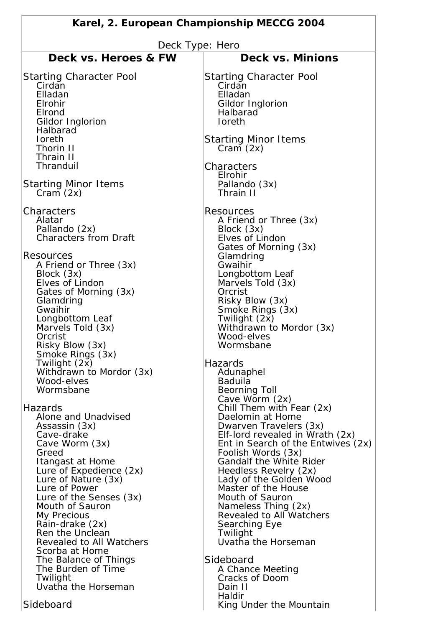| Karel, 2. European Championship MECCG 2004                                                                                                                                                                                                                                                                                                                                                                                                                                                                  |                                                                                                                                                                                                                                                                                                                                                                                                                                                                                                                                                                                                                  |
|-------------------------------------------------------------------------------------------------------------------------------------------------------------------------------------------------------------------------------------------------------------------------------------------------------------------------------------------------------------------------------------------------------------------------------------------------------------------------------------------------------------|------------------------------------------------------------------------------------------------------------------------------------------------------------------------------------------------------------------------------------------------------------------------------------------------------------------------------------------------------------------------------------------------------------------------------------------------------------------------------------------------------------------------------------------------------------------------------------------------------------------|
| Deck Type: Hero                                                                                                                                                                                                                                                                                                                                                                                                                                                                                             |                                                                                                                                                                                                                                                                                                                                                                                                                                                                                                                                                                                                                  |
| Deck vs. Heroes & FW                                                                                                                                                                                                                                                                                                                                                                                                                                                                                        | <b>Deck vs. Minions</b>                                                                                                                                                                                                                                                                                                                                                                                                                                                                                                                                                                                          |
| <b>Starting Character Pool</b><br>Cirdan<br>Elladan<br>Elrohir<br>Elrond<br>Gildor Inglorion<br>Halbarad<br><b>loreth</b><br>Thorin II<br>Thrain II<br>Thranduil                                                                                                                                                                                                                                                                                                                                            | <b>Starting Character Pool</b><br>Cirdan<br>Elladan<br>Gildor Inglorion<br>Halbarad<br>Ioreth<br><b>Starting Minor Items</b><br>Cram(2x)<br>Characters<br>Elrohir                                                                                                                                                                                                                                                                                                                                                                                                                                                |
| <b>Starting Minor Items</b><br>Cram(2x)                                                                                                                                                                                                                                                                                                                                                                                                                                                                     | Pallando (3x)<br>Thrain II                                                                                                                                                                                                                                                                                                                                                                                                                                                                                                                                                                                       |
| Characters<br>Alatar<br>Pallando (2x)<br><b>Characters from Draft</b><br>Resources<br>A Friend or Three (3x)<br>Block (3x)<br>Elves of Lindon<br>Gates of Morning (3x)<br>Glamdring<br>Gwaihir<br>Longbottom Leaf<br>Marvels Told (3x)<br>Orcrist<br>Risky Blow (3x)<br>Smoke Rings (3x)<br>Twilight (2x)<br>Withdrawn to Mordor (3x)<br>Wood-elves<br>Wormsbane<br>Hazards<br>Alone and Unadvised<br>Assassin (3x)<br>Cave-drake<br>Cave Worm (3x)<br>Greed<br>Itangast at Home<br>Lure of Expedience (2x) | <b>Resources</b><br>A Friend or Three (3x)<br>Block (3x)<br>Elves of Lindon<br>Gates of Morning (3x)<br>Glamdring<br>Gwaihir<br>Longbottom Leaf<br>Marvels Told (3x)<br>Orcrist<br>Risky Blow (3x)<br>Smoke Rings (3x)<br>Twilight (2x)<br>Withdrawn to Mordor (3x)<br>Wood-elves<br>Wormsbane<br>Hazards<br>Adunaphel<br>Baduila<br><b>Beorning Toll</b><br>Cave Worm (2x)<br>Chill Them with Fear (2x)<br>Daelomin at Home<br>Dwarven Travelers (3x)<br>Elf-lord revealed in Wrath (2x)<br>Ent in Search of the Entwives (2x)<br>Foolish Words (3x)<br><b>Gandalf the White Rider</b><br>Heedless Revelry (2x) |
| Lure of Nature (3x)<br>Lure of Power<br>Lure of the Senses (3x)<br>Mouth of Sauron<br>My Precious<br>Rain-drake (2x)<br>Ren the Unclean<br>Revealed to All Watchers<br>Scorba at Home<br>The Balance of Things<br>The Burden of Time<br>Twilight<br>Uvatha the Horseman<br>Sideboard                                                                                                                                                                                                                        | Lady of the Golden Wood<br>Master of the House<br>Mouth of Sauron<br>Nameless Thing (2x)<br>Revealed to All Watchers<br>Searching Eye<br>Twilight<br>Uvatha the Horseman<br>Sideboard<br>A Chance Meeting<br>Cracks of Doom<br>Dain II<br>Haldir<br>King Under the Mountain                                                                                                                                                                                                                                                                                                                                      |